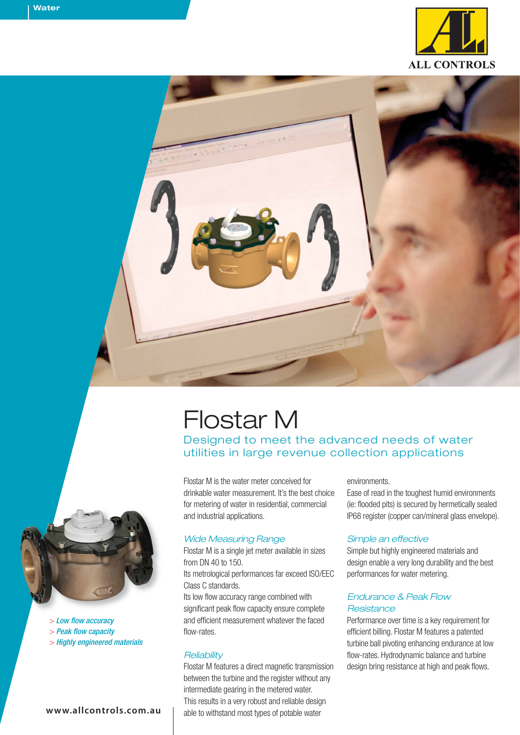



# Flostar M

Designed to meet the advanced needs of water utilities in large revenue collection applications

Flostar M is the water meter conceived for drinkable water measurement. It's the best choice for metering of water in residential, commercial and industrial applications.

### *Wide Measuring Range*

Flostar M is a single jet meter available in sizes from DN 40 to 150.

Its metrological performances far exceed ISO/EEC Class C standards.

Its low flow accuracy range combined with significant peak flow capacity ensure complete and efficient measurement whatever the faced flow-rates.

### *Reliability*

Flostar M features a direct magnetic transmission between the turbine and the register without any intermediate gearing in the metered water. This results in a very robust and reliable design able to withstand most types of potable water

### environments.

Ease of read in the toughest humid environments (ie: flooded pits) is secured by hermetically sealed IP68 register (copper can/mineral glass envelope).

### *Simple an effective*

Simple but highly engineered materials and design enable a very long durability and the best performances for water metering.

### *Endurance & Peak Flow Resistance*

Performance over time is a key requirement for efficient billing. Flostar M features a patented turbine ball pivoting enhancing endurance at low flow-rates. Hydrodynamic balance and turbine design bring resistance at high and peak flows.



> *Low flow accuracy*

- > *Peak flow capacity*
- > *Highly engineered materials*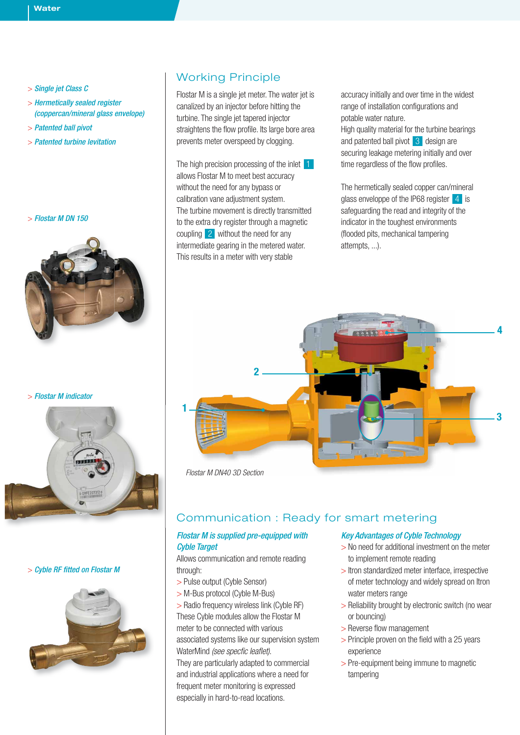- > *Single jet Class C*
- > *Hermetically sealed register (coppercan/mineral glass envelope)*
- > *Patented ball pivot*
- > *Patented turbine levitation*

### > *Flostar M DN 150*



> *Flostar M indicator*



### > *Cyble RF fitted on Flostar M*



# Working Principle

Flostar M is a single jet meter. The water jet is canalized by an injector before hitting the turbine. The single jet tapered injector straightens the flow profile. Its large bore area prevents meter overspeed by clogging.

The high precision processing of the inlet  $11$ allows Flostar M to meet best accuracy without the need for any bypass or calibration vane adjustment system. The turbine movement is directly transmitted to the extra dry register through a magnetic coupling 2 without the need for any intermediate gearing in the metered water. This results in a meter with very stable

accuracy initially and over time in the widest range of installation configurations and potable water nature.

High quality material for the turbine bearings and patented ball pivot 3 design are securing leakage metering initially and over time regardless of the flow profiles.

The hermetically sealed copper can/mineral glass enveloppe of the IP68 register 4 is safeguarding the read and integrity of the indicator in the toughest environments (flooded pits, mechanical tampering attempts, ...).



*Flostar M DN40 3D Section*

### Communication : Ready for smart metering

### *Flostar M is supplied pre-equipped with Cyble Target*

Allows communication and remote reading through:

- > Pulse output (Cyble Sensor)
- > M-Bus protocol (Cyble M-Bus)
- > Radio frequency wireless link (Cyble RF) These Cyble modules allow the Flostar M

meter to be connected with various associated systems like our supervision system WaterMind *(see specfic leaflet)*.

They are particularly adapted to commercial and industrial applications where a need for frequent meter monitoring is expressed especially in hard-to-read locations.

### *Key Advantages of Cyble Technology*

- > No need for additional investment on the meter to implement remote reading
- > Itron standardized meter interface, irrespective of meter technology and widely spread on Itron water meters range
- > Reliability brought by electronic switch (no wear or bouncing)
- > Reverse flow management
- > Principle proven on the field with a 25 years experience
- > Pre-equipment being immune to magnetic tampering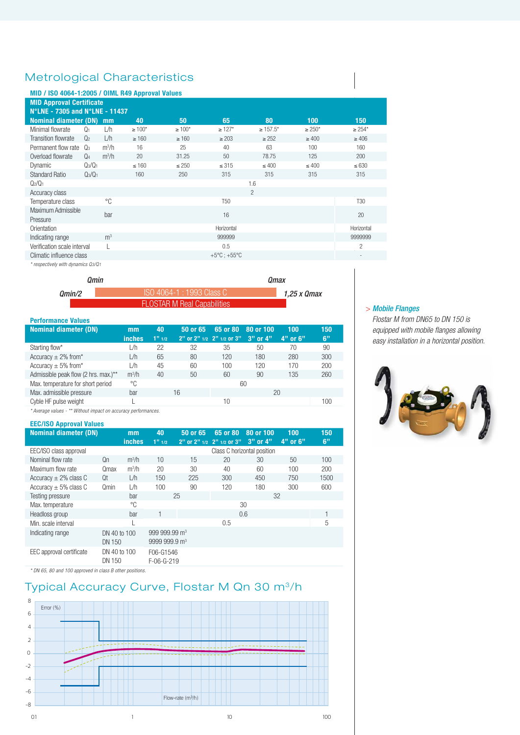# Metrological Characteristics

### **MID / ISO 4064-1:2005 / OIML R49 Approval Values**

| . .<br><b>MID Approval Certificate</b>                                                           |                |                |              |              |                                 |                |              |                    |  |  |
|--------------------------------------------------------------------------------------------------|----------------|----------------|--------------|--------------|---------------------------------|----------------|--------------|--------------------|--|--|
| N°LNE - 7305 and N°LNE - 11437<br><b>Nominal diameter (DN) mm</b><br>100<br>40<br>65<br>80<br>50 |                |                |              |              |                                 |                |              |                    |  |  |
| Minimal flowrate                                                                                 | Q <sub>1</sub> | L/h            | $\geq 100^*$ | $\geq 100^*$ | $\geq 127$ *                    | $\geq 157.5^*$ | $\geq 250^*$ | 150<br>$\geq 254*$ |  |  |
| <b>Transition flowrate</b>                                                                       | Q <sub>2</sub> | L/h            | $\geq 160$   | $\geq 160$   | $\geq 203$                      | $\geq$ 252     | $\geq 400$   | $\geq 406$         |  |  |
| Permanent flow rate                                                                              | $Q_3$          | $m^3/h$        | 16           | 25           | 40                              | 63             | 100          | 160                |  |  |
| Overload flowrate                                                                                | $Q_4$          | $m^3/h$        | 20           | 31.25        | 50                              | 78.75          | 125          | 200                |  |  |
| Dynamic                                                                                          | $Q_3/Q_1$      |                | $\leq 160$   | $\leq 250$   | $\leq 315$                      | $\leq 400$     | $\leq 400$   | $\leq 630$         |  |  |
| <b>Standard Ratio</b>                                                                            | $Q_3/Q_1$      |                | 160          | 250          | 315                             | 315            | 315          | 315                |  |  |
| $Q_2/Q_1$                                                                                        |                |                |              |              |                                 | 1.6            |              |                    |  |  |
| Accuracy class                                                                                   |                |                |              |              |                                 | $\overline{c}$ |              |                    |  |  |
| Temperature class                                                                                |                | °C             |              |              | T <sub>50</sub>                 |                |              | T <sub>30</sub>    |  |  |
| Maximum Admissible<br>Pressure                                                                   |                | bar            |              |              | 16                              |                |              | 20                 |  |  |
| Orientation                                                                                      |                |                |              |              | Horizontal                      |                |              | Horizontal         |  |  |
| Indicating range                                                                                 |                | m <sup>3</sup> |              |              | 999999                          |                |              | 9999999            |  |  |
| Verification scale interval                                                                      |                |                |              |              | 0.5                             |                |              | $\overline{c}$     |  |  |
| Climatic influence class                                                                         |                |                |              |              | $+5^{\circ}$ C; $+55^{\circ}$ C |                |              | ٠                  |  |  |

*\* respectively with dynamics Q3/Q1*

|               | Omin                               | Omax        |  |  |
|---------------|------------------------------------|-------------|--|--|
| <i>Omin/2</i> | ISO 4064-1 : 1993 Class C          | 1.25 x Qmax |  |  |
|               | <b>FLOSTAR M Real Capabilities</b> |             |  |  |

| <b>Performance Values</b>            |                     |             |          |                                       |                           |                     |           |
|--------------------------------------|---------------------|-------------|----------|---------------------------------------|---------------------------|---------------------|-----------|
| <b>Nominal diameter (DN)</b>         | mm<br><b>inches</b> | 40<br>1"1/2 | 50 or 65 | 65 or 80<br>2" or 2" 1/2 2" 1/2 or 3" | 80 or 100<br>$3"$ or $4"$ | 100<br>$4"$ or $6"$ | 150<br>6" |
| Starting flow*                       | L/h                 | 22          | 32       | 35                                    | 50                        | 70                  | 90        |
| Accuracy $\pm$ 2% from*              | L/h                 | 65          | 80       | 120                                   | 180                       | 280                 | 300       |
| Accuracy $\pm$ 5% from*              | L/h                 | 45          | 60       | 100                                   | 120                       | 170                 | 200       |
| Admissible peak flow (2 hrs. max.)** | $m^3/h$             | 40          | 50       | 60                                    | 90                        | 135                 | 260       |
| Max. temperature for short period    | °C                  |             |          |                                       | 60                        |                     |           |
| Max. admissible pressure             | bar                 |             | 16       |                                       | 20                        |                     |           |
| Cyble HF pulse weight                |                     |             |          | 10                                    |                           |                     | 100       |
|                                      |                     |             |          |                                       |                           |                     |           |

*\* Average values - \*\* Without impact on accuracy performances.*

### **EEC/ISO Approval Values**

| <b>Nominal diameter (DN)</b> |                        | mm            | 40                          | 50 or 65 | 65 or 80                  | 80 or 100 | 100      | 150  |
|------------------------------|------------------------|---------------|-----------------------------|----------|---------------------------|-----------|----------|------|
|                              |                        | <b>inches</b> | $1''$ 1/2                   |          | 2" or 2" 1/2 2" 1/2 or 3" | 3" or 4"  | 4" or 6" | 6"   |
| EEC/ISO class approval       |                        |               | Class C horizontal position |          |                           |           |          |      |
| Nominal flow rate            | Qn                     | $m^3/h$       | 10                          | 15       | 20                        | 30        | 50       | 100  |
| Maximum flow rate            | <b>Omax</b>            | $m^3/h$       | 20                          | 30       | 40                        | 60        | $100 -$  | 200  |
| Accuracy $\pm$ 2% class C    | Qt                     | L/h           | 150                         | 225      | 300                       | 450       | 750      | 1500 |
| Accuracy $\pm$ 5% class C    | Qmin                   | L/h           | 100                         | 90       | 120                       | 180       | 300      | 600  |
| Testing pressure             |                        | bar           |                             | 25       |                           | 32        |          |      |
| Max. temperature             |                        | °C            |                             |          |                           | 30        |          |      |
| Headloss group               |                        | bar           |                             |          |                           | 0.6       |          |      |
| Min. scale interval          |                        |               |                             |          | 0.5                       |           |          | 5    |
| Indicating range             | DN 40 to 100           |               | 999 999.99 m <sup>3</sup>   |          |                           |           |          |      |
|                              | DN 150                 |               | 9999 999.9 m <sup>3</sup>   |          |                           |           |          |      |
| EEC approval certificate     | DN 40 to 100<br>DN 150 |               | F06-G1546<br>$F-06-G-219$   |          |                           |           |          |      |

*\* DN 65, 80 and 100 approved in class B other positions.*

# Typical Accuracy Curve, Flostar M Qn 30 m<sup>3</sup>/h



#### > *Mobile Flanges*

*Flostar M from DN65 to DN 150 is equipped with mobile flanges allowing easy installation in a horizontal position.*